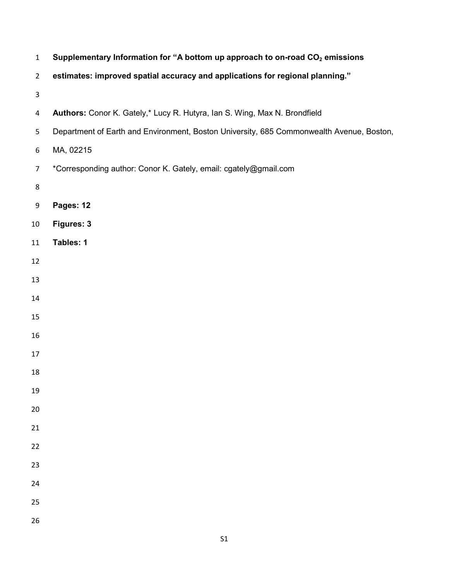| $\mathbf{1}$   | Supplementary Information for "A bottom up approach to on-road CO <sub>2</sub> emissions |
|----------------|------------------------------------------------------------------------------------------|
| $\overline{2}$ | estimates: improved spatial accuracy and applications for regional planning."            |
| 3              |                                                                                          |
| 4              | Authors: Conor K. Gately,* Lucy R. Hutyra, Ian S. Wing, Max N. Brondfield                |
| 5              | Department of Earth and Environment, Boston University, 685 Commonwealth Avenue, Boston, |
| 6              | MA, 02215                                                                                |
| $\overline{7}$ | *Corresponding author: Conor K. Gately, email: cgately@gmail.com                         |
| 8              |                                                                                          |
| 9              | Pages: 12                                                                                |
| 10             | Figures: 3                                                                               |
| 11             | Tables: 1                                                                                |
| 12             |                                                                                          |
| 13             |                                                                                          |
| 14             |                                                                                          |
| 15             |                                                                                          |
| 16             |                                                                                          |
| 17             |                                                                                          |
| 18             |                                                                                          |
| 19             |                                                                                          |
| 20             |                                                                                          |
| 21             |                                                                                          |
| 22             |                                                                                          |
| 23             |                                                                                          |
| 24             |                                                                                          |
| 25             |                                                                                          |
| 26             |                                                                                          |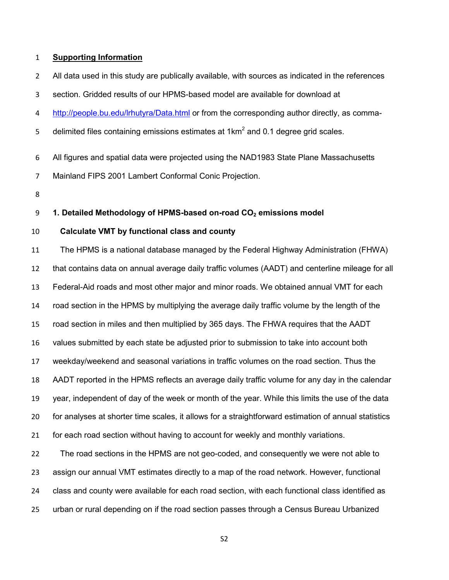## **Supporting Information**

All data used in this study are publically available, with sources as indicated in the references

section. Gridded results of our HPMS-based model are available for download at

4 http://people.bu.edu/lrhutyra/Data.html or from the corresponding author directly, as comma-

5 delimited files containing emissions estimates at  $1 \text{km}^2$  and 0.1 degree grid scales.

- All figures and spatial data were projected using the NAD1983 State Plane Massachusetts
- Mainland FIPS 2001 Lambert Conformal Conic Projection.
- 

### **1. Detailed Methodology of HPMS-based on-road CO2 emissions model**

## **Calculate VMT by functional class and county**

The HPMS is a national database managed by the Federal Highway Administration (FHWA) that contains data on annual average daily traffic volumes (AADT) and centerline mileage for all Federal-Aid roads and most other major and minor roads. We obtained annual VMT for each road section in the HPMS by multiplying the average daily traffic volume by the length of the road section in miles and then multiplied by 365 days. The FHWA requires that the AADT values submitted by each state be adjusted prior to submission to take into account both weekday/weekend and seasonal variations in traffic volumes on the road section. Thus the AADT reported in the HPMS reflects an average daily traffic volume for any day in the calendar year, independent of day of the week or month of the year. While this limits the use of the data for analyses at shorter time scales, it allows for a straightforward estimation of annual statistics for each road section without having to account for weekly and monthly variations. The road sections in the HPMS are not geo-coded, and consequently we were not able to assign our annual VMT estimates directly to a map of the road network. However, functional

class and county were available for each road section, with each functional class identified as

urban or rural depending on if the road section passes through a Census Bureau Urbanized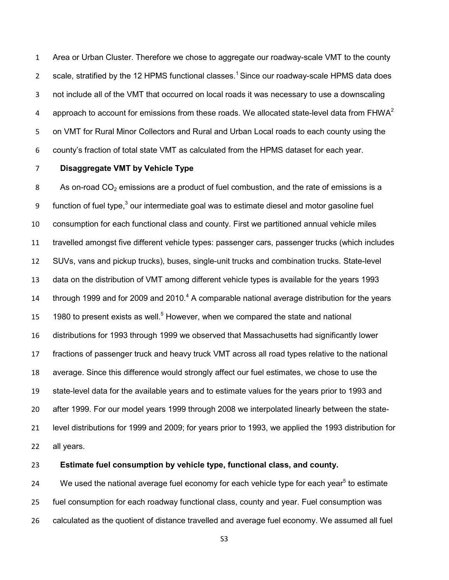Area or Urban Cluster. Therefore we chose to aggregate our roadway-scale VMT to the county 2 scale, stratified by the 12 HPMS functional classes.<sup>1</sup> Since our roadway-scale HPMS data does not include all of the VMT that occurred on local roads it was necessary to use a downscaling approach to account for emissions from these roads. We allocated state-level data from  $FHWA<sup>2</sup>$  on VMT for Rural Minor Collectors and Rural and Urban Local roads to each county using the county's fraction of total state VMT as calculated from the HPMS dataset for each year.

# **Disaggregate VMT by Vehicle Type**

8 As on-road  $CO<sub>2</sub>$  emissions are a product of fuel combustion, and the rate of emissions is a 9 function of fuel type, our intermediate goal was to estimate diesel and motor gasoline fuel consumption for each functional class and county. First we partitioned annual vehicle miles travelled amongst five different vehicle types: passenger cars, passenger trucks (which includes SUVs, vans and pickup trucks), buses, single-unit trucks and combination trucks. State-level data on the distribution of VMT among different vehicle types is available for the years 1993 14 through 1999 and for 2009 and 2010. A comparable national average distribution for the years to present exists as well.<sup>5</sup> However, when we compared the state and national distributions for 1993 through 1999 we observed that Massachusetts had significantly lower fractions of passenger truck and heavy truck VMT across all road types relative to the national average. Since this difference would strongly affect our fuel estimates, we chose to use the state-level data for the available years and to estimate values for the years prior to 1993 and after 1999. For our model years 1999 through 2008 we interpolated linearly between the state-level distributions for 1999 and 2009; for years prior to 1993, we applied the 1993 distribution for all years.

**Estimate fuel consumption by vehicle type, functional class, and county.** 

24 We used the national average fuel economy for each vehicle type for each year<sup>5</sup> to estimate fuel consumption for each roadway functional class, county and year. Fuel consumption was calculated as the quotient of distance travelled and average fuel economy. We assumed all fuel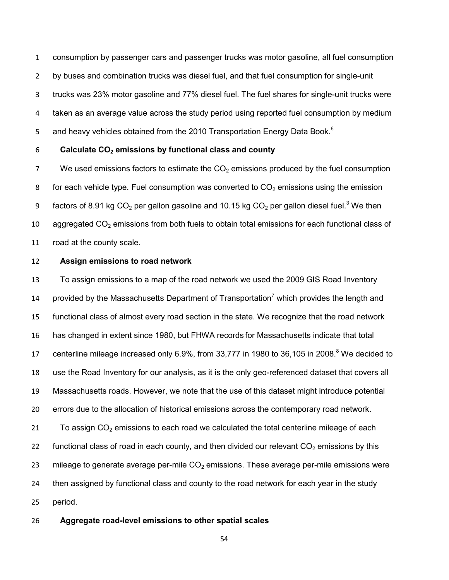consumption by passenger cars and passenger trucks was motor gasoline, all fuel consumption by buses and combination trucks was diesel fuel, and that fuel consumption for single-unit trucks was 23% motor gasoline and 77% diesel fuel. The fuel shares for single-unit trucks were taken as an average value across the study period using reported fuel consumption by medium and heavy vehicles obtained from the 2010 Transportation Energy Data Book.<sup>6</sup> 5

### 6 **Calculate CO2 emissions by functional class and county**

7 We used emissions factors to estimate the  $CO<sub>2</sub>$  emissions produced by the fuel consumption 8 for each vehicle type. Fuel consumption was converted to  $CO<sub>2</sub>$  emissions using the emission 9 factors of 8.91 kg CO<sub>2</sub> per gallon gasoline and 10.15 kg CO<sub>2</sub> per gallon diesel fuel.<sup>3</sup> We then 10 aggregated  $CO<sub>2</sub>$  emissions from both fuels to obtain total emissions for each functional class of 11 road at the county scale.

#### 12 **Assign emissions to road network**

13 To assign emissions to a map of the road network we used the 2009 GIS Road Inventory 14 provided by the Massachusetts Department of Transportation<sup>7</sup> which provides the length and 15 functional class of almost every road section in the state. We recognize that the road network 16 has changed in extent since 1980, but FHWA records for Massachusetts indicate that total 17 centerline mileage increased only 6.9%, from 33,777 in 1980 to 36,105 in 2008.<sup>8</sup> We decided to 18 use the Road Inventory for our analysis, as it is the only geo-referenced dataset that covers all 19 Massachusetts roads. However, we note that the use of this dataset might introduce potential 20 errors due to the allocation of historical emissions across the contemporary road network. 21 To assign  $CO<sub>2</sub>$  emissions to each road we calculated the total centerline mileage of each 22 functional class of road in each county, and then divided our relevant  $CO<sub>2</sub>$  emissions by this 23 mileage to generate average per-mile  $CO<sub>2</sub>$  emissions. These average per-mile emissions were 24 then assigned by functional class and county to the road network for each year in the study 25 period.

### 26 **Aggregate road-level emissions to other spatial scales**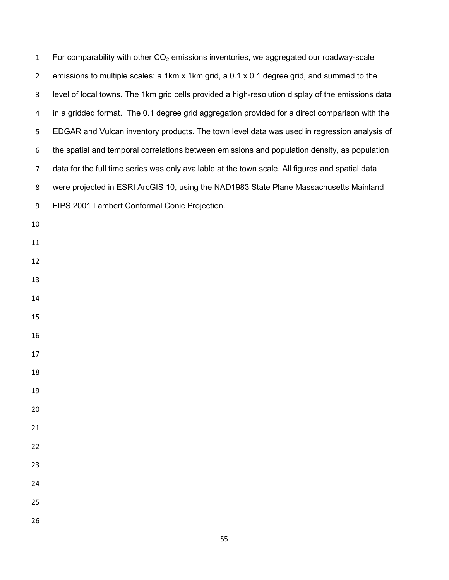| $\mathbf{1}$   | For comparability with other $CO2$ emissions inventories, we aggregated our roadway-scale         |
|----------------|---------------------------------------------------------------------------------------------------|
| $\overline{2}$ | emissions to multiple scales: a 1km x 1km grid, a 0.1 x 0.1 degree grid, and summed to the        |
| 3              | level of local towns. The 1km grid cells provided a high-resolution display of the emissions data |
| 4              | in a gridded format. The 0.1 degree grid aggregation provided for a direct comparison with the    |
| 5              | EDGAR and Vulcan inventory products. The town level data was used in regression analysis of       |
| 6              | the spatial and temporal correlations between emissions and population density, as population     |
| $\overline{7}$ | data for the full time series was only available at the town scale. All figures and spatial data  |
| 8              | were projected in ESRI ArcGIS 10, using the NAD1983 State Plane Massachusetts Mainland            |
| 9              | FIPS 2001 Lambert Conformal Conic Projection.                                                     |
| 10             |                                                                                                   |
| 11             |                                                                                                   |
| 12             |                                                                                                   |
| 13             |                                                                                                   |
| 14             |                                                                                                   |
| 15             |                                                                                                   |
| 16             |                                                                                                   |
| 17             |                                                                                                   |
| 18             |                                                                                                   |
| 19             |                                                                                                   |
| 20             |                                                                                                   |
| 21             |                                                                                                   |
| 22             |                                                                                                   |
| 23             |                                                                                                   |
| 24             |                                                                                                   |
| 25             |                                                                                                   |
| 26             |                                                                                                   |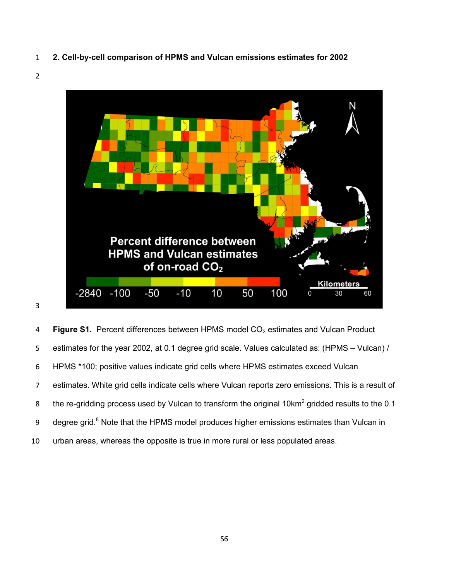- **2. Cell-by-cell comparison of HPMS and Vulcan emissions estimates for 2002**
- 



**Figure S1.** Percent differences between HPMS model CO<sub>2</sub> estimates and Vulcan Product estimates for the year 2002, at 0.1 degree grid scale. Values calculated as: (HPMS – Vulcan) / HPMS \*100; positive values indicate grid cells where HPMS estimates exceed Vulcan estimates. White grid cells indicate cells where Vulcan reports zero emissions. This is a result of 8 bthe re-gridding process used by Vulcan to transform the original 10km<sup>2</sup> gridded results to the 0.1 9 degree grid.<sup>8</sup> Note that the HPMS model produces higher emissions estimates than Vulcan in urban areas, whereas the opposite is true in more rural or less populated areas.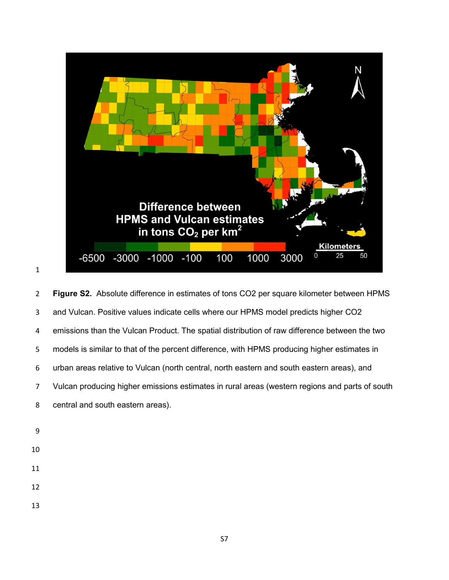

**Figure S2.** Absolute difference in estimates of tons CO2 per square kilometer between HPMS and Vulcan. Positive values indicate cells where our HPMS model predicts higher CO2 emissions than the Vulcan Product. The spatial distribution of raw difference between the two models is similar to that of the percent difference, with HPMS producing higher estimates in urban areas relative to Vulcan (north central, north eastern and south eastern areas), and Vulcan producing higher emissions estimates in rural areas (western regions and parts of south central and south eastern areas).

- 
- 
- 
-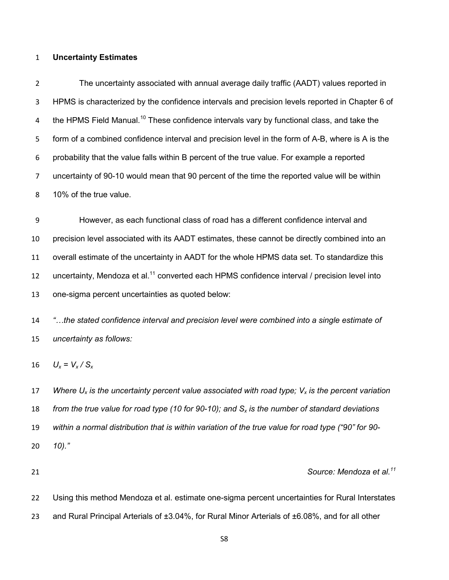#### **Uncertainty Estimates**

The uncertainty associated with annual average daily traffic (AADT) values reported in HPMS is characterized by the confidence intervals and precision levels reported in Chapter 6 of 4 the HPMS Field Manual.<sup>10</sup> These confidence intervals vary by functional class, and take the form of a combined confidence interval and precision level in the form of A-B, where is A is the probability that the value falls within B percent of the true value. For example a reported uncertainty of 90-10 would mean that 90 percent of the time the reported value will be within 10% of the true value.

However, as each functional class of road has a different confidence interval and precision level associated with its AADT estimates, these cannot be directly combined into an overall estimate of the uncertainty in AADT for the whole HPMS data set. To standardize this 12 uncertainty, Mendoza et al.<sup>11</sup> converted each HPMS confidence interval / precision level into one-sigma percent uncertainties as quoted below:

*"…the stated confidence interval and precision level were combined into a single estimate of uncertainty as follows:* 

16  $U_x = V_x / S_x$ 

*Where Ux is the uncertainty percent value associated with road type; Vx is the percent variation from the true value for road type (10 for 90-10); and Sx is the number of standard deviations within a normal distribution that is within variation of the true value for road type ("90" for 90- 10)."* 

#### *Source: Mendoza et al.<sup>11</sup>*

Using this method Mendoza et al. estimate one-sigma percent uncertainties for Rural Interstates and Rural Principal Arterials of ±3.04%, for Rural Minor Arterials of ±6.08%, and for all other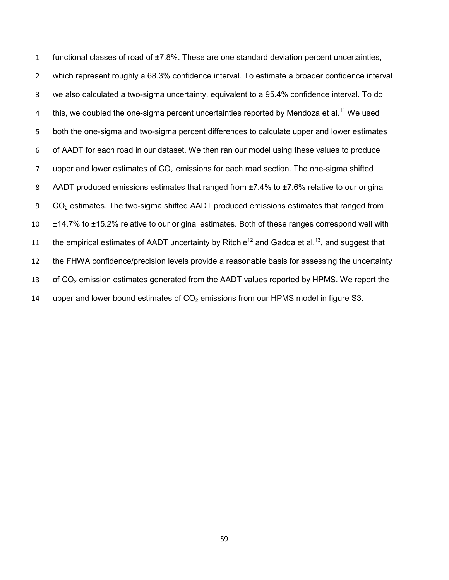1 functional classes of road of ±7.8%. These are one standard deviation percent uncertainties, 2 which represent roughly a 68.3% confidence interval. To estimate a broader confidence interval 3 we also calculated a two-sigma uncertainty, equivalent to a 95.4% confidence interval. To do 4 this, we doubled the one-sigma percent uncertainties reported by Mendoza et al.<sup>11</sup> We used 5 both the one-sigma and two-sigma percent differences to calculate upper and lower estimates 6 of AADT for each road in our dataset. We then ran our model using these values to produce 7 upper and lower estimates of  $CO<sub>2</sub>$  emissions for each road section. The one-sigma shifted 8 AADT produced emissions estimates that ranged from ±7.4% to ±7.6% relative to our original 9 CO<sub>2</sub> estimates. The two-sigma shifted AADT produced emissions estimates that ranged from 10 ±14.7% to ±15.2% relative to our original estimates. Both of these ranges correspond well with 11 the empirical estimates of AADT uncertainty by Ritchie<sup>12</sup> and Gadda et al.<sup>13</sup>, and suggest that 12 the FHWA confidence/precision levels provide a reasonable basis for assessing the uncertainty 13 of  $CO<sub>2</sub>$  emission estimates generated from the AADT values reported by HPMS. We report the 14 upper and lower bound estimates of  $CO<sub>2</sub>$  emissions from our HPMS model in figure S3.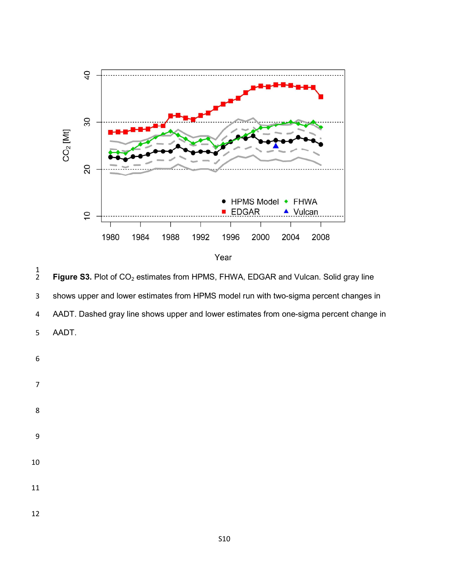

 $\frac{1}{2}$ Figure S3. Plot of CO<sub>2</sub> estimates from HPMS, FHWA, EDGAR and Vulcan. Solid gray line shows upper and lower estimates from HPMS model run with two-sigma percent changes in AADT. Dashed gray line shows upper and lower estimates from one-sigma percent change in AADT.

- 
- 
- 

- 
- 
- 
- 
- 
-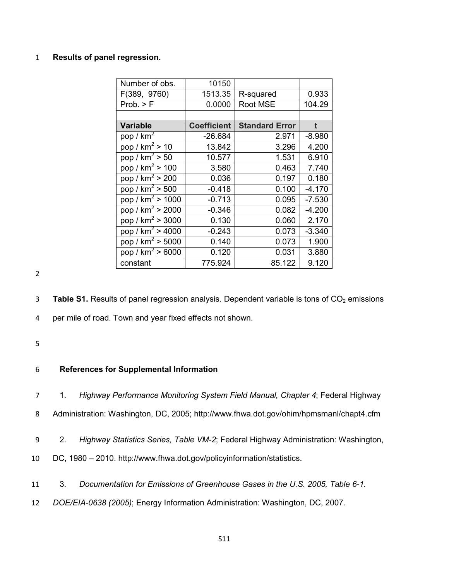# 1 **Results of panel regression.**

| Number of obs.                            | 10150              |                       |          |
|-------------------------------------------|--------------------|-----------------------|----------|
| F(389, 9760)                              | 1513.35            | R-squared             | 0.933    |
| Prob. > F                                 | 0.0000             | Root MSE              | 104.29   |
|                                           |                    |                       |          |
| <b>Variable</b>                           | <b>Coefficient</b> | <b>Standard Error</b> | t        |
| pop / $km^2$                              | $-26.684$          | 2.971                 | $-8.980$ |
| pop / $km^2$ > 10                         | 13.842             | 3.296                 | 4.200    |
| pop / $km^2$ > 50                         | 10.577             | 1.531                 | 6.910    |
| pop / $km^2$ > 100                        | 3.580              | 0.463                 | 7.740    |
| pop / $km^2 > 200$                        | 0.036              | 0.197                 | 0.180    |
| pop / $km^2$ > 500                        | $-0.418$           | 0.100                 | $-4.170$ |
| pop / $km^2$ > 1000                       | $-0.713$           | 0.095                 | $-7.530$ |
| pop / $km^2 > 2000$                       | $-0.346$           | 0.082                 | $-4.200$ |
| pop / $km^2$ > 3000                       | 0.130              | 0.060                 | 2.170    |
| pop / $km^2 > 4000$                       | $-0.243$           | 0.073                 | $-3.340$ |
| pop / km <sup>2</sup> > 5000              | 0.140              | 0.073                 | 1.900    |
| $\overline{pop}$ / km <sup>2</sup> > 6000 | 0.120              | 0.031                 | 3.880    |
| constant                                  | 775.924            | 85.122                | 9.120    |

2

3 **Table S1.** Results of panel regression analysis. Dependent variable is tons of CO<sub>2</sub> emissions

4 per mile of road. Town and year fixed effects not shown.

5

### 6 **References for Supplemental Information**

- 7 1. *Highway Performance Monitoring System Field Manual, Chapter 4*; Federal Highway
- 8 Administration: Washington, DC, 2005; http://www.fhwa.dot.gov/ohim/hpmsmanl/chapt4.cfm
- 9 2. *Highway Statistics Series, Table VM-2*; Federal Highway Administration: Washington,
- 10 DC, 1980 2010. http://www.fhwa.dot.gov/policyinformation/statistics.
- 11 3. *Documentation for Emissions of Greenhouse Gases in the U.S. 2005, Table 6-1.*
- 12 *DOE/EIA-0638 (2005)*; Energy Information Administration: Washington, DC, 2007.